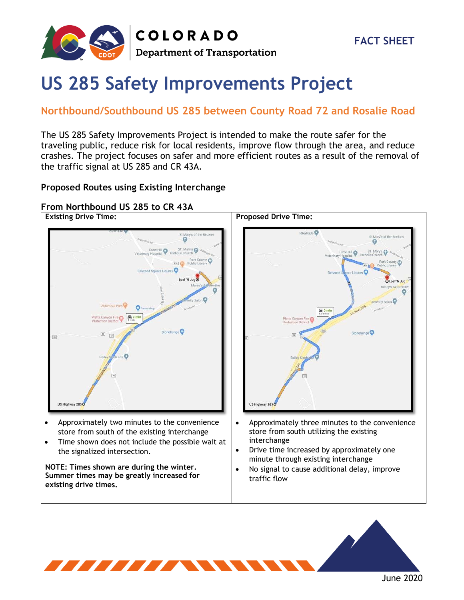

**COLORADO Department of Transportation** 

# **US 285 Safety Improvements Project**

### **Northbound/Southbound US 285 between County Road 72 and Rosalie Road**

The US 285 Safety Improvements Project is intended to make the route safer for the traveling public, reduce risk for local residents, improve flow through the area, and reduce crashes. The project focuses on safer and more efficient routes as a result of the removal of the traffic signal at US 285 and CR 43A.

### **Proposed Routes using Existing Interchange**

### **From Northbound US 285 to CR 43A**



- Approximately two minutes to the convenience store from south of the existing interchange
- Time shown does not include the possible wait at the signalized intersection.

**NOTE: Times shown are during the winter. Summer times may be greatly increased for existing drive times.** 



- Approximately three minutes to the convenience store from south utilizing the existing interchange
- Drive time increased by approximately one minute through existing interchange
- No signal to cause additional delay, improve traffic flow